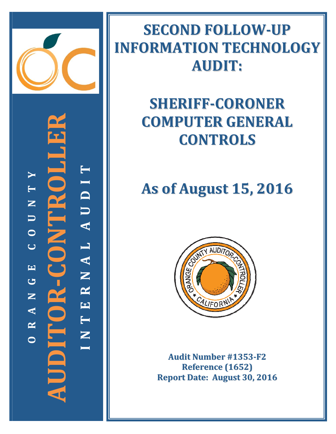

**‐CONTROLLER** -<br>2 **TYI T D N** E **U U A**  $\overline{\mathbf{Z}}$ **O L C**  $\frac{1}{2}$  = 2 ( ) **A EN G R AUDITOR N E A T R** Ξ **N OI**

# **SECOND FOLLOW‐UP INFORMATION TECHNOLOGY AUDIT:**

## **SHERIFF‐CORONER COMPUTER GENERAL CONTROLS**

# **As of August 15, 2016**



**Audit Number #1353‐F2 Reference (1652) Report Date: August 30, 2016**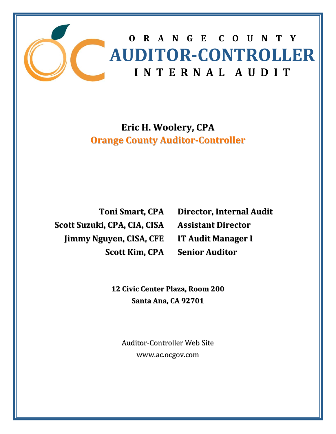

### **Eric H. Woolery, CPA Orange County Auditor‐Controller**

**Toni Smart, CPA Scott Suzuki, CPA, CIA, CISA Jimmy Nguyen, CISA, CFE Scott Kim, CPA**

**Director, Internal Audit Assistant Director IT Audit Manager I Senior Auditor**

**12 Civic Center Plaza, Room 200 Santa Ana, CA 92701**

Auditor‐Controller Web Site www.ac.ocgov.com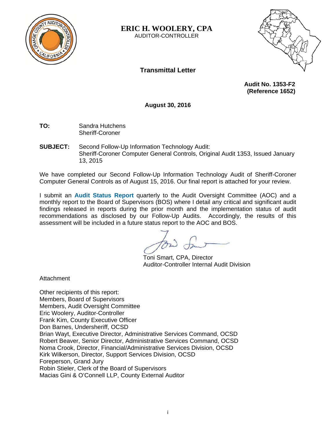

**ERIC H. WOOLERY, CPA**  AUDITOR-CONTROLLER



**Transmittal Letter** 

 **Audit No. 1353-F2 (Reference 1652)** 

**August 30, 2016** 

- **TO:** Sandra Hutchens Sheriff-Coroner
- **SUBJECT:** Second Follow-Up Information Technology Audit: Sheriff-Coroner Computer General Controls, Original Audit 1353, Issued January 13, 2015

We have completed our Second Follow-Up Information Technology Audit of Sheriff-Coroner Computer General Controls as of August 15, 2016. Our final report is attached for your review.

I submit an **Audit Status Report** quarterly to the Audit Oversight Committee (AOC) and a monthly report to the Board of Supervisors (BOS) where I detail any critical and significant audit findings released in reports during the prior month and the implementation status of audit recommendations as disclosed by our Follow-Up Audits. Accordingly, the results of this assessment will be included in a future status report to the AOC and BOS.

Toni Smart, CPA, Director Auditor-Controller Internal Audit Division

**Attachment** 

Other recipients of this report: Members, Board of Supervisors Members, Audit Oversight Committee Eric Woolery, Auditor-Controller Frank Kim, County Executive Officer Don Barnes, Undersheriff, OCSD Brian Wayt, Executive Director, Administrative Services Command, OCSD Robert Beaver, Senior Director, Administrative Services Command, OCSD Noma Crook, Director, Financial/Administrative Services Division, OCSD Kirk Wilkerson, Director, Support Services Division, OCSD Foreperson, Grand Jury Robin Stieler, Clerk of the Board of Supervisors Macias Gini & O'Connell LLP, County External Auditor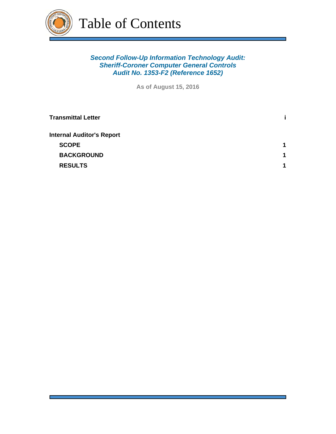

Table of Contents

#### *Second Follow-Up Information Technology Audit: Sheriff-Coroner Computer General Controls Audit No. 1353-F2 (Reference 1652)*

**As of August 15, 2016**

| 1 |
|---|
| 1 |
| 4 |
|   |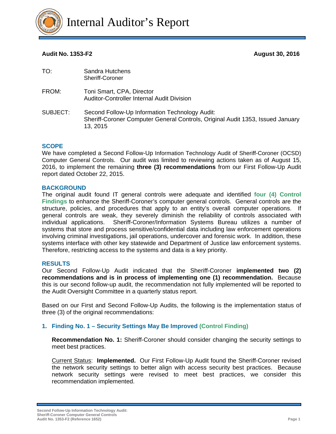

#### **Audit No. 1353-F2 August 30, 2016**

| TO:      | Sandra Hutchens<br>Sheriff-Coroner                                                                                                           |
|----------|----------------------------------------------------------------------------------------------------------------------------------------------|
| FROM:    | Toni Smart, CPA, Director<br><b>Auditor-Controller Internal Audit Division</b>                                                               |
| SUBJECT: | Second Follow-Up Information Technology Audit:<br>Sheriff-Coroner Computer General Controls, Original Audit 1353, Issued January<br>13, 2015 |

#### **SCOPE**

We have completed a Second Follow-Up Information Technology Audit of Sheriff-Coroner (OCSD) Computer General Controls. Our audit was limited to reviewing actions taken as of August 15, 2016, to implement the remaining **three (3) recommendations** from our First Follow-Up Audit report dated October 22, 2015.

#### **BACKGROUND**

The original audit found IT general controls were adequate and identified **four (4) Control Findings** to enhance the Sheriff-Coroner's computer general controls. General controls are the structure, policies, and procedures that apply to an entity's overall computer operations. If general controls are weak, they severely diminish the reliability of controls associated with individual applications. Sheriff-Coroner/Information Systems Bureau utilizes a number of systems that store and process sensitive/confidential data including law enforcement operations involving criminal investigations, jail operations, undercover and forensic work. In addition, these systems interface with other key statewide and Department of Justice law enforcement systems. Therefore, restricting access to the systems and data is a key priority.

#### **RESULTS**

Our Second Follow-Up Audit indicated that the Sheriff-Coroner **implemented two (2) recommendations and is in process of implementing one (1) recommendation.** Because this is our second follow-up audit, the recommendation not fully implemented will be reported to the Audit Oversight Committee in a quarterly status report.

Based on our First and Second Follow-Up Audits, the following is the implementation status of three (3) of the original recommendations:

#### **1. Finding No. 1 – Security Settings May Be Improved (Control Finding)**

**Recommendation No. 1:** Sheriff-Coroner should consider changing the security settings to meet best practices.

Current Status: **Implemented.** Our First Follow-Up Audit found the Sheriff-Coroner revised the network security settings to better align with access security best practices. Because network security settings were revised to meet best practices, we consider this recommendation implemented.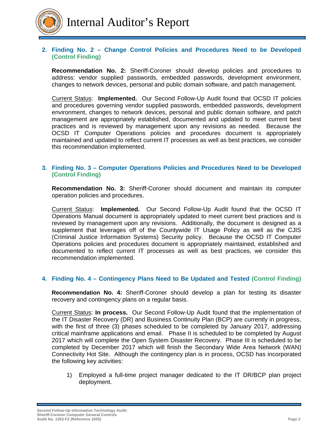

#### **2. Finding No. 2 – Change Control Policies and Procedures Need to be Developed (Control Finding)**

**Recommendation No. 2:** Sheriff-Coroner should develop policies and procedures to address: vendor supplied passwords, embedded passwords, development environment, changes to network devices, personal and public domain software, and patch management.

Current Status: **Implemented.** Our Second Follow-Up Audit found that OCSD IT policies and procedures governing vendor supplied passwords, embedded passwords, development environment, changes to network devices, personal and public domain software, and patch management are appropriately established, documented and updated to meet current best practices and is reviewed by management upon any revisions as needed. Because the OCSD IT Computer Operations policies and procedures document is appropriately maintained and updated to reflect current IT processes as well as best practices, we consider this recommendation implemented.

#### **3. Finding No. 3 – Computer Operations Policies and Procedures Need to be Developed (Control Finding)**

**Recommendation No. 3:** Sheriff-Coroner should document and maintain its computer operation policies and procedures.

Current Status: **Implemented.** Our Second Follow-Up Audit found that the OCSD IT Operations Manual document is appropriately updated to meet current best practices and is reviewed by management upon any revisions. Additionally, the document is designed as a supplement that leverages off of the Countywide IT Usage Policy as well as the CJIS (Criminal Justice Information Systems) Security policy. Because the OCSD IT Computer Operations policies and procedures document is appropriately maintained, established and documented to reflect current IT processes as well as best practices, we consider this recommendation implemented.

#### **4. Finding No. 4 – Contingency Plans Need to Be Updated and Tested (Control Finding)**

**Recommendation No. 4:** Sheriff-Coroner should develop a plan for testing its disaster recovery and contingency plans on a regular basis.

Current Status: **In process.** Our Second Follow-Up Audit found that the implementation of the IT Disaster Recovery (DR) and Business Continuity Plan (BCP) are currently in progress, with the first of three (3) phases scheduled to be completed by January 2017, addressing critical mainframe applications and email. Phase II is scheduled to be completed by August 2017 which will complete the Open System Disaster Recovery. Phase III is scheduled to be completed by December 2017 which will finish the Secondary Wide Area Network (WAN) Connectivity Hot Site. Although the contingency plan is in process, OCSD has incorporated the following key activities:

1) Employed a full-time project manager dedicated to the IT DR/BCP plan project deployment.